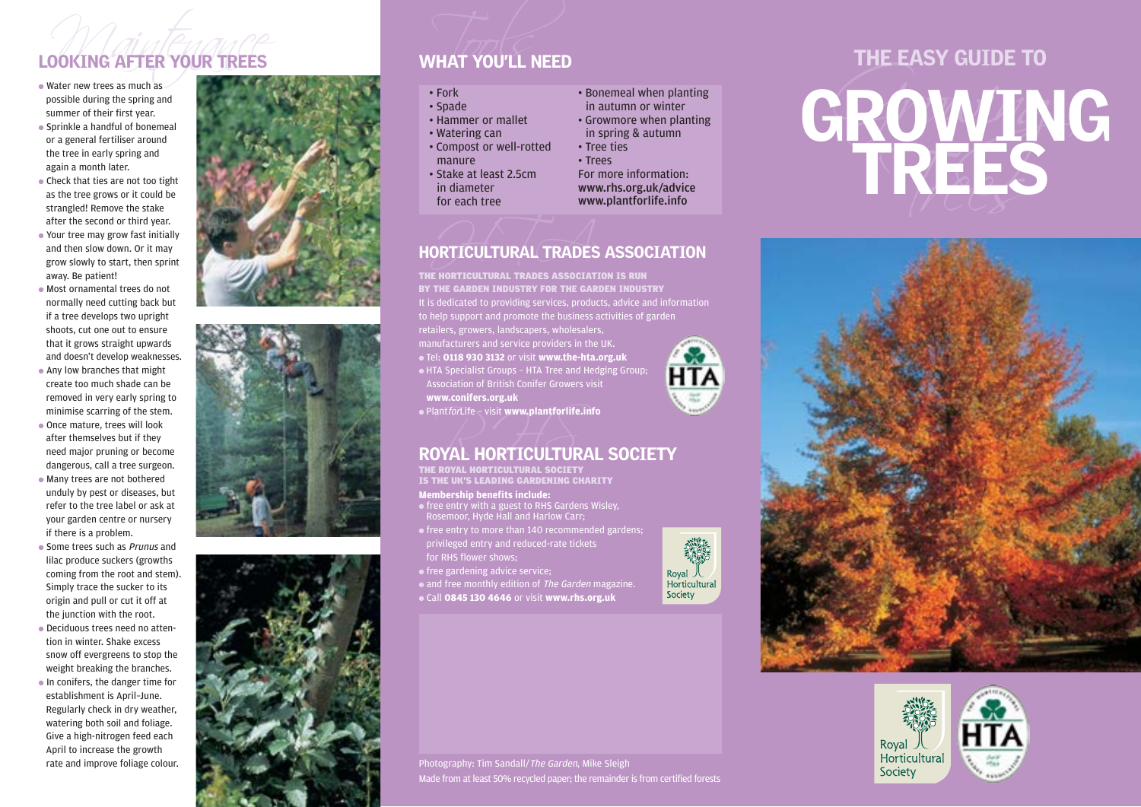- 
- 
- 
- Your tree may grow fast initially and then slow down. Or it may grow slowly to start, then sprint away. Be patient!
- Most ornamental trees do not normally need cutting back but if a tree develops two upright shoots, cut one out to ensure that it grows straight upwards and doesn't develop weaknesses.
- Any low branches that might create too much shade can be removed in very early spring to minimise scarring of the stem.
- Once mature, trees will look after themselves but if they need major pruning or become dangerous, call a tree surgeon.
- Many trees are not bothered unduly by pest or diseases, but refer to the tree label or ask at your garden centre or nursery if there is a problem.
- Some trees such as *Prunus* and lilac produce suckers (growths coming from the root and stem). Simply trace the sucker to its origin and pull or cut it off at the junction with the root.
- Deciduous trees need no attention in winter. Shake excess snow off evergreens to stop the weight breaking the branches. ● In conifers, the danger time for establishment is April–June. Regularly check in dry weather, watering both soil and foliage. Give a high-nitrogen feed each April to increase the growth rate and improve foliage colour.







- 
- 
- 
- 
- 
- 
- 
- 
- 

# ORTICULTURAL TRADES HORTICULTURAL TRADES ASSOCIATION

THE HORTICULTURAL TRADES ASSOCIATION IS RUN

It is dedicated to providing services, products, advice and information to help support and promote the business activities of garden BY THE GARDEN INDUSTRY FOR THE GARDEN INDUSTRY

retailers, growers, landscapers, wholesalers,

● Tel: **0118 930 3132** or visit **www.the-hta.org.uk** ● HTA Specialist Groups – HTA Tree and Hedging Group; Association of British Conifer Growers visit **www.conifers.org.uk**

● PlantforLife – visit **www.plantforlife.info**



THE ROYAL HORTICULTURAL SOCIETY<br>IS THE UK'S LEADING GARDENING CHARITY

## **Membership benefits include:**

- free entry with a guest to RHS Gardens Wisley, Rosemoor, Hyde Hall and Harlow Carr;
- $\bullet$  free entry to more than 140 recommended gardens: privileged entry and reduced-rate tickets for RHS flower shows;
- free gardening advice service;

• and free monthly edition of The Garden magazine.

● Call **0845 130 4646** or visit **www.rhs.org.uk**



**HTA** 

# LOOKING AFTER YOUR TREES<br>
where new trees as much as<br>
possible during the spring and<br>
sparing the spring and<br>
sparing the spring and<br>
sparing the spring and<br>
sparing the interior sparing the spring and<br>
sparing composite c





Photography: Tim Sandall/The Garden, Mike Sleigh Made from at least 50% recycled paper; the remainder is from certified forests